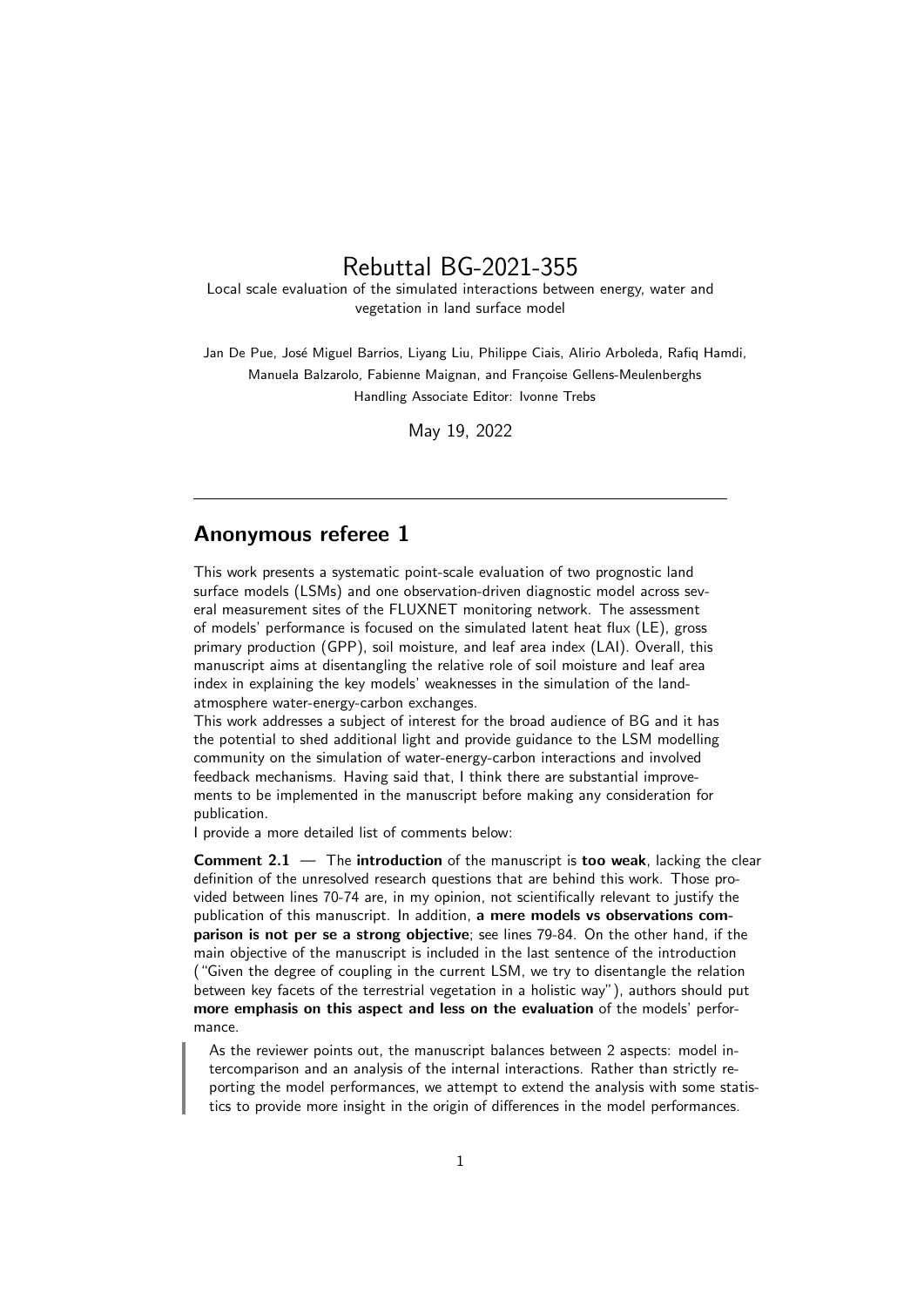## Rebuttal BG-2021-355

Local scale evaluation of the simulated interactions between energy, water and vegetation in land surface model

Jan De Pue, José Miguel Barrios, Livang Liu, Philippe Ciais, Alirio Arboleda, Rafiq Hamdi, Manuela Balzarolo, Fabienne Maignan, and Françoise Gellens-Meulenberghs Handling Associate Editor: Ivonne Trebs

May 19, 2022

## Anonymous referee 1

This work presents a systematic point-scale evaluation of two prognostic land surface models (LSMs) and one observation-driven diagnostic model across several measurement sites of the FLUXNET monitoring network. The assessment of models' performance is focused on the simulated latent heat flux (LE), gross primary production (GPP), soil moisture, and leaf area index (LAI). Overall, this manuscript aims at disentangling the relative role of soil moisture and leaf area index in explaining the key models' weaknesses in the simulation of the landatmosphere water-energy-carbon exchanges.

This work addresses a subject of interest for the broad audience of BG and it has the potential to shed additional light and provide guidance to the LSM modelling community on the simulation of water-energy-carbon interactions and involved feedback mechanisms. Having said that, I think there are substantial improvements to be implemented in the manuscript before making any consideration for publication.

I provide a more detailed list of comments below:

**Comment 2.1**  $-$  The introduction of the manuscript is too weak, lacking the clear definition of the unresolved research questions that are behind this work. Those provided between lines 70-74 are, in my opinion, not scientifically relevant to justify the publication of this manuscript. In addition, a mere models vs observations comparison is not per se a strong objective; see lines 79-84. On the other hand, if the main objective of the manuscript is included in the last sentence of the introduction ("Given the degree of coupling in the current LSM, we try to disentangle the relation between key facets of the terrestrial vegetation in a holistic way"), authors should put more emphasis on this aspect and less on the evaluation of the models' performance.

As the reviewer points out, the manuscript balances between 2 aspects: model intercomparison and an analysis of the internal interactions. Rather than strictly reporting the model performances, we attempt to extend the analysis with some statistics to provide more insight in the origin of differences in the model performances.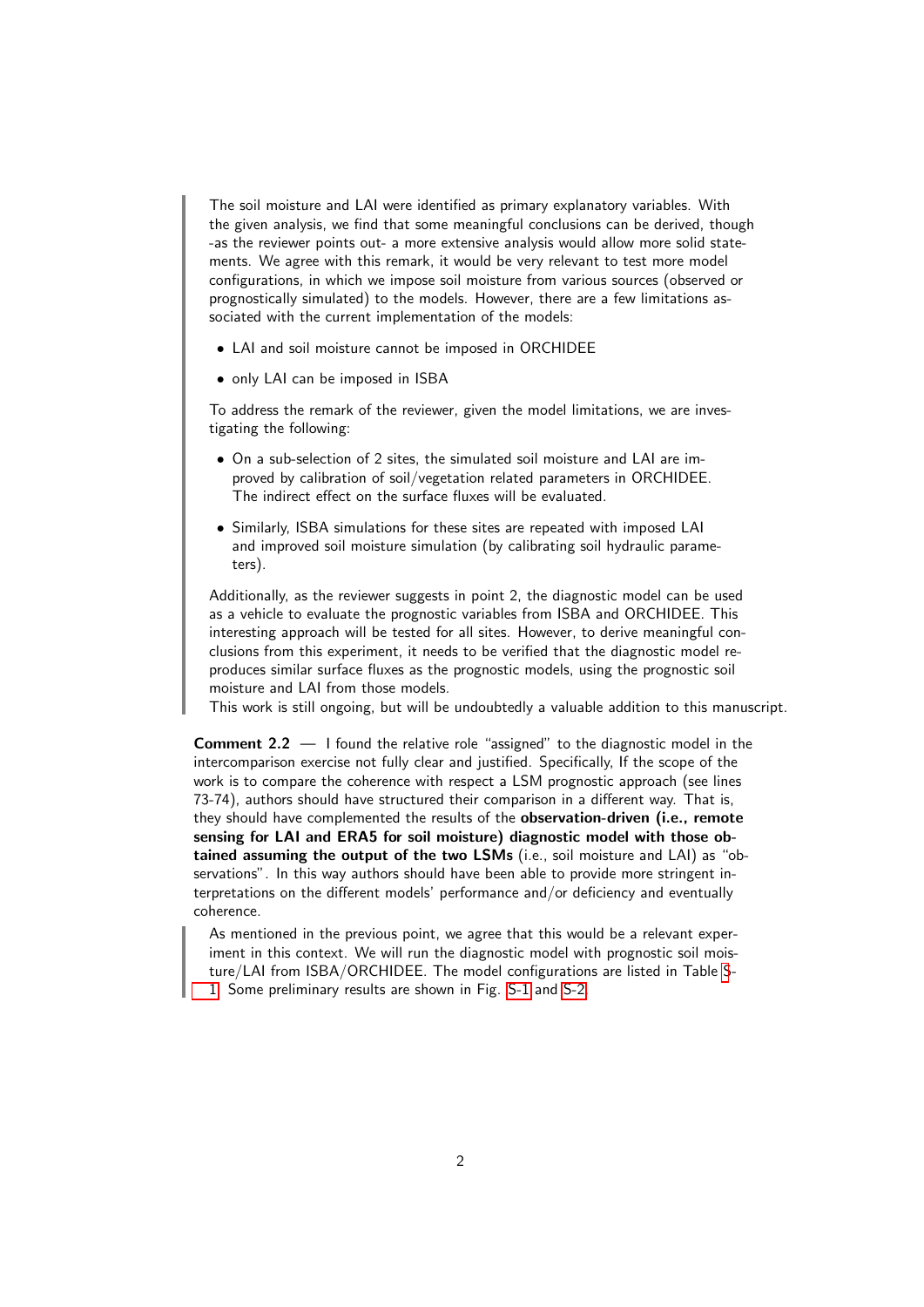The soil moisture and LAI were identified as primary explanatory variables. With the given analysis, we find that some meaningful conclusions can be derived, though -as the reviewer points out- a more extensive analysis would allow more solid statements. We agree with this remark, it would be very relevant to test more model configurations, in which we impose soil moisture from various sources (observed or prognostically simulated) to the models. However, there are a few limitations associated with the current implementation of the models:

- LAI and soil moisture cannot be imposed in ORCHIDEE
- only LAI can be imposed in ISBA

To address the remark of the reviewer, given the model limitations, we are investigating the following:

- On a sub-selection of 2 sites, the simulated soil moisture and LAI are improved by calibration of soil/vegetation related parameters in ORCHIDEE. The indirect effect on the surface fluxes will be evaluated.
- Similarly, ISBA simulations for these sites are repeated with imposed LAI and improved soil moisture simulation (by calibrating soil hydraulic parameters).

Additionally, as the reviewer suggests in point 2, the diagnostic model can be used as a vehicle to evaluate the prognostic variables from ISBA and ORCHIDEE. This interesting approach will be tested for all sites. However, to derive meaningful conclusions from this experiment, it needs to be verified that the diagnostic model reproduces similar surface fluxes as the prognostic models, using the prognostic soil moisture and LAI from those models.

This work is still ongoing, but will be undoubtedly a valuable addition to this manuscript.

**Comment 2.2**  $-$  I found the relative role "assigned" to the diagnostic model in the intercomparison exercise not fully clear and justified. Specifically, If the scope of the work is to compare the coherence with respect a LSM prognostic approach (see lines 73-74), authors should have structured their comparison in a different way. That is, they should have complemented the results of the observation-driven (i.e., remote sensing for LAI and ERA5 for soil moisture) diagnostic model with those obtained assuming the output of the two LSMs (i.e., soil moisture and LAI) as "observations". In this way authors should have been able to provide more stringent interpretations on the different models' performance and/or deficiency and eventually coherence.

As mentioned in the previous point, we agree that this would be a relevant experiment in this context. We will run the diagnostic model with prognostic soil moisture/LAI from ISBA/ORCHIDEE. The model configurations are listed in Table [S](#page-2-0)-[1.](#page-2-0) Some preliminary results are shown in Fig. [S-1](#page-2-1) and [S-2.](#page-2-2)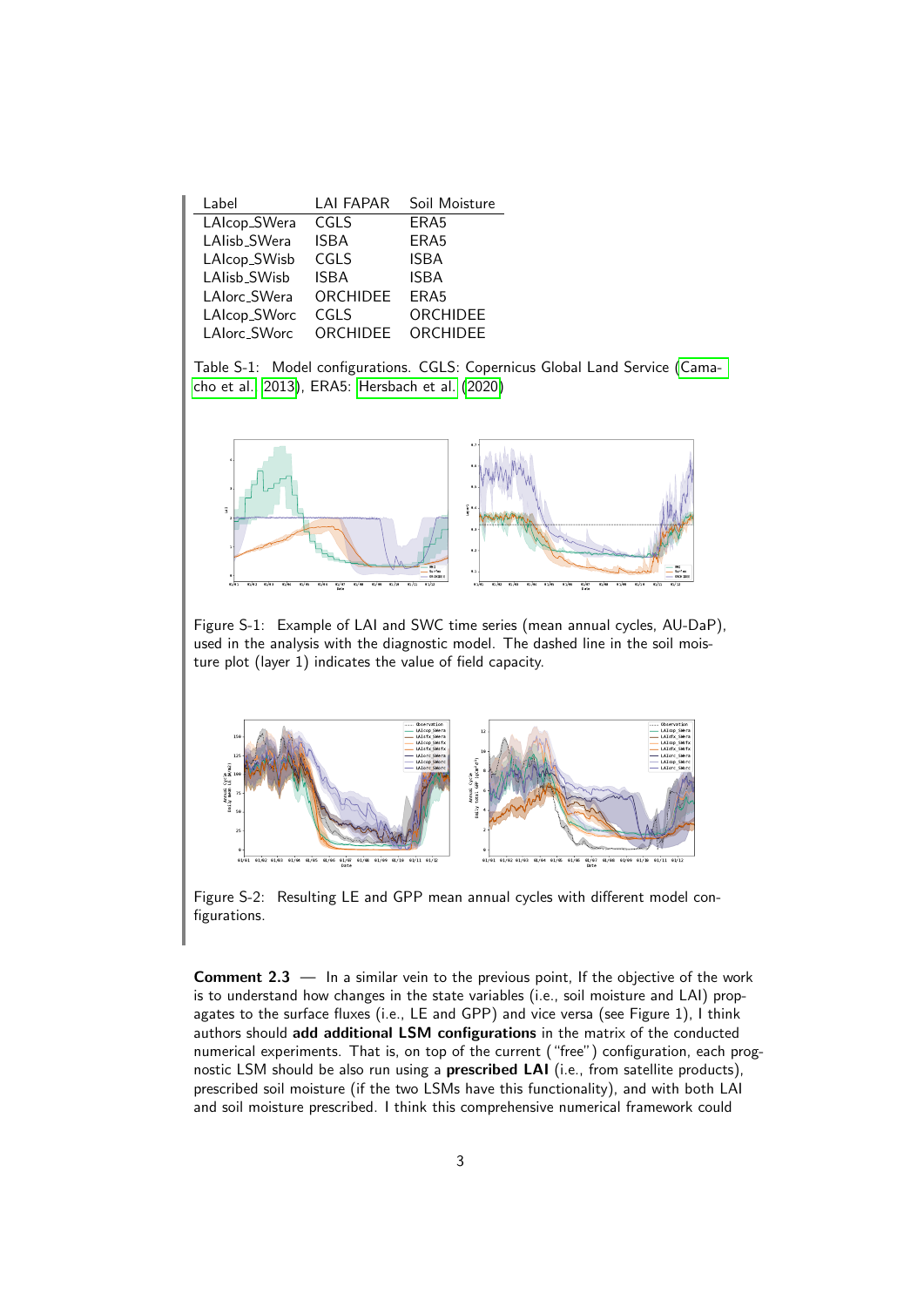<span id="page-2-0"></span>

| Label        | <b>LAI FAPAR</b> | Soil Moisture    |
|--------------|------------------|------------------|
| LAIcop_SWera | CGLS             | ERA5             |
| LAlisb_SWera | <b>ISBA</b>      | ERA <sub>5</sub> |
| LAIcop_SWisb | CGLS             | <b>ISBA</b>      |
| LAlisb_SWisb | <b>ISBA</b>      | <b>ISBA</b>      |
| LAlorc_SWera | ORCHIDEE         | ERA <sub>5</sub> |
| LAIcop_SWorc | CGLS             | ORCHIDEE         |
| LAIorc_SWorc | ORCHIDEE         | ORCHIDEE         |

Table S-1: Model configurations. CGLS: Copernicus Global Land Service (Camacho et al., 2013), ERA5: Hersbach et al. (2020)

<span id="page-2-1"></span>

Figure S-1: Example of LAI and SWC time series (mean annual cycles, AU-DaP), used in the analysis with the diagnostic model. The dashed line in the soil moisture plot (layer 1) indicates the value of field capacity.

<span id="page-2-2"></span>

Figure S-2: Resulting LE and GPP mean annual cycles with different model configurations.

**Comment 2.3**  $-$  In a similar vein to the previous point, If the objective of the work is to understand how changes in the state variables (i.e., soil moisture and LAI) propagates to the surface fluxes (i.e., LE and GPP) and vice versa (see Figure 1), I think authors should add additional LSM configurations in the matrix of the conducted numerical experiments. That is, on top of the current ("free") configuration, each prognostic LSM should be also run using a prescribed LAI (i.e., from satellite products), prescribed soil moisture (if the two LSMs have this functionality), and with both LAI and soil moisture prescribed. I think this comprehensive numerical framework could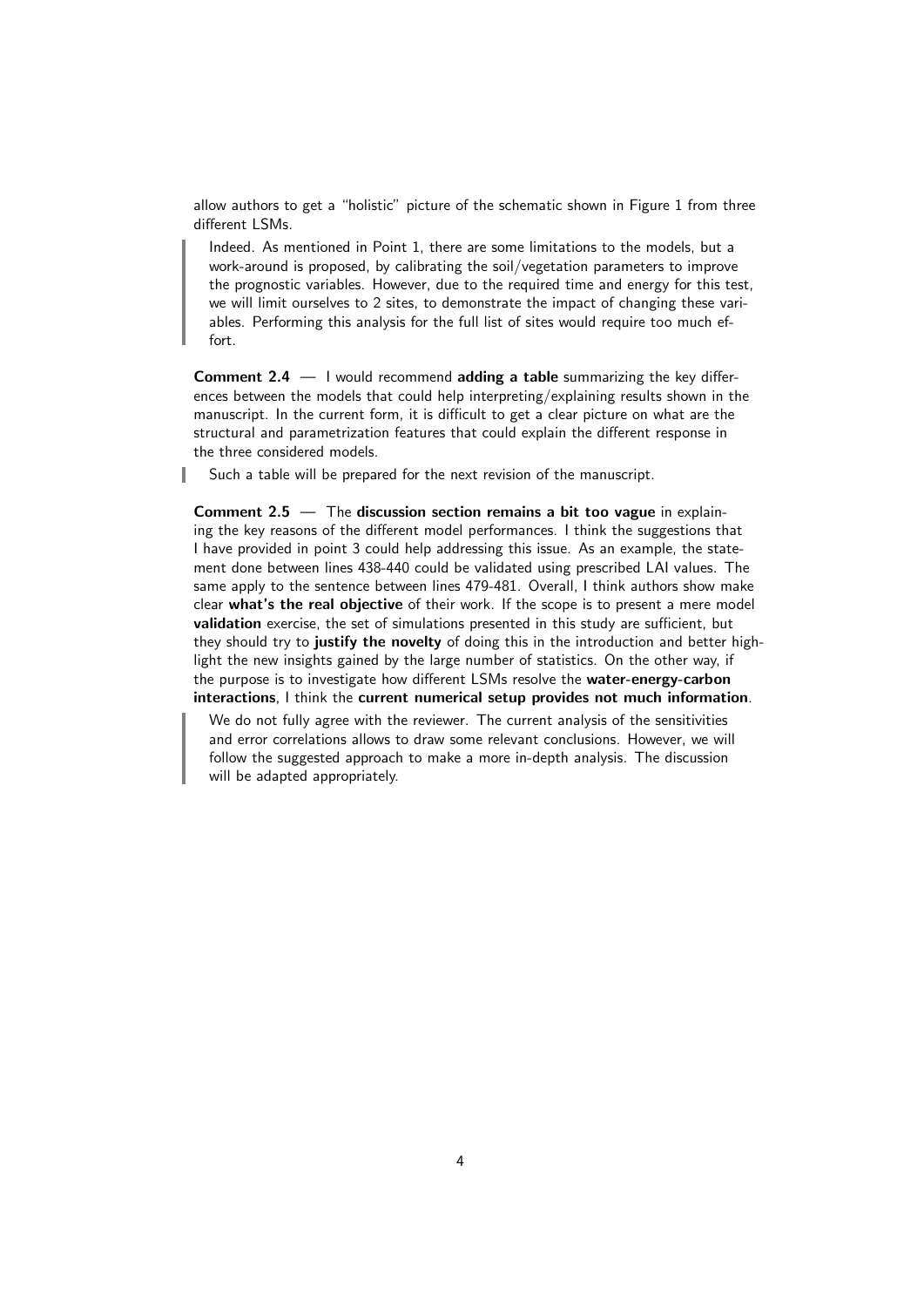allow authors to get a "holistic" picture of the schematic shown in Figure 1 from three different LSMs.

Indeed. As mentioned in Point 1, there are some limitations to the models, but a work-around is proposed, by calibrating the soil/vegetation parameters to improve the prognostic variables. However, due to the required time and energy for this test, we will limit ourselves to 2 sites, to demonstrate the impact of changing these variables. Performing this analysis for the full list of sites would require too much effort.

**Comment 2.4**  $-$  I would recommend **adding a table** summarizing the key differences between the models that could help interpreting/explaining results shown in the manuscript. In the current form, it is difficult to get a clear picture on what are the structural and parametrization features that could explain the different response in the three considered models.

Such a table will be prepared for the next revision of the manuscript.

Comment  $2.5 -$  The discussion section remains a bit too vague in explaining the key reasons of the different model performances. I think the suggestions that I have provided in point 3 could help addressing this issue. As an example, the statement done between lines 438-440 could be validated using prescribed LAI values. The same apply to the sentence between lines 479-481. Overall, I think authors show make clear what's the real objective of their work. If the scope is to present a mere model validation exercise, the set of simulations presented in this study are sufficient, but they should try to justify the novelty of doing this in the introduction and better highlight the new insights gained by the large number of statistics. On the other way, if the purpose is to investigate how different LSMs resolve the water-energy-carbon interactions, I think the current numerical setup provides not much information.

We do not fully agree with the reviewer. The current analysis of the sensitivities and error correlations allows to draw some relevant conclusions. However, we will follow the suggested approach to make a more in-depth analysis. The discussion will be adapted appropriately.